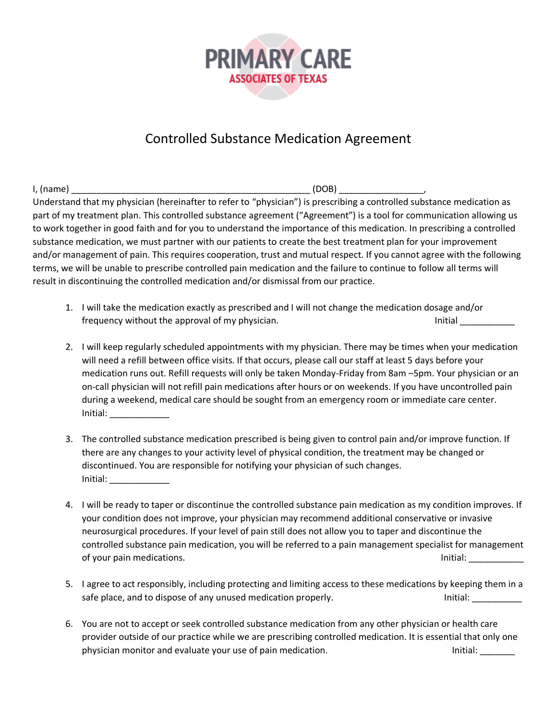

## Controlled Substance Medication Agreement

I, (name) \_\_\_\_\_\_\_\_\_\_\_\_\_\_\_\_\_\_\_\_\_\_\_\_\_\_\_\_\_\_\_\_\_\_\_\_\_\_\_\_\_\_\_\_\_\_\_\_ (DOB) \_\_\_\_\_\_\_\_\_\_\_\_\_\_\_\_\_, Understand that my physician (hereinafter to refer to "physician") is prescribing a controlled substance medication as part of my treatment plan. This controlled substance agreement ("Agreement") is a tool for communication allowing us to work together in good faith and for you to understand the importance of this medication. In prescribing a controlled substance medication, we must partner with our patients to create the best treatment plan for your improvement and/or management of pain. This requires cooperation, trust and mutual respect. If you cannot agree with the following terms, we will be unable to prescribe controlled pain medication and the failure to continue to follow all terms will result in discontinuing the controlled medication and/or dismissal from our practice.

- 1. I will take the medication exactly as prescribed and I will not change the medication dosage and/or frequency without the approval of my physician. Initial and the state of the limitial control of my physician.
- 2. I will keep regularly scheduled appointments with my physician. There may be times when your medication will need a refill between office visits. If that occurs, please call our staff at least 5 days before your medication runs out. Refill requests will only be taken Monday-Friday from 8am –5pm. Your physician or an on-call physician will not refill pain medications after hours or on weekends. If you have uncontrolled pain during a weekend, medical care should be sought from an emergency room or immediate care center. Initial: \_\_\_\_\_\_\_\_\_\_\_\_
- 3. The controlled substance medication prescribed is being given to control pain and/or improve function. If there are any changes to your activity level of physical condition, the treatment may be changed or discontinued. You are responsible for notifying your physician of such changes. Initial: **with a set of the set of the set of the set of the set of the set of the set of the set of the set o**
- 4. I will be ready to taper or discontinue the controlled substance pain medication as my condition improves. If your condition does not improve, your physician may recommend additional conservative or invasive neurosurgical procedures. If your level of pain still does not allow you to taper and discontinue the controlled substance pain medication, you will be referred to a pain management specialist for management of your pain medications. The same of your pain medications.
- 5. I agree to act responsibly, including protecting and limiting access to these medications by keeping them in a safe place, and to dispose of any unused medication properly. The same state of initial: \_\_\_\_\_\_\_\_\_\_\_
- 6. You are not to accept or seek controlled substance medication from any other physician or health care provider outside of our practice while we are prescribing controlled medication. It is essential that only one physician monitor and evaluate your use of pain medication. Initial: \_\_\_\_\_\_\_\_\_\_\_